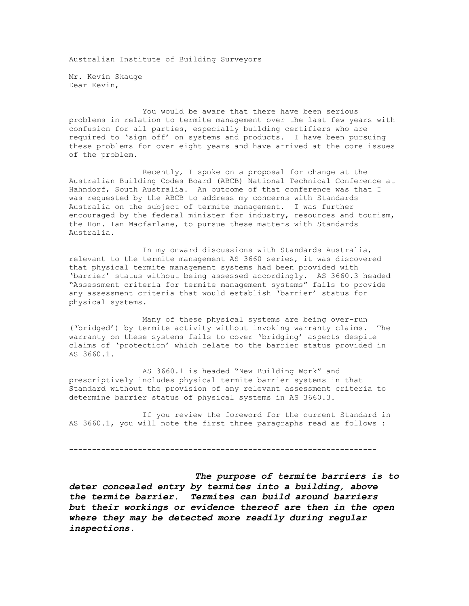Australian Institute of Building Surveyors

Mr. Kevin Skauge Dear Kevin,

 You would be aware that there have been serious problems in relation to termite management over the last few years with confusion for all parties, especially building certifiers who are required to 'sign off' on systems and products. I have been pursuing these problems for over eight years and have arrived at the core issues of the problem.

 Recently, I spoke on a proposal for change at the Australian Building Codes Board (ABCB) National Technical Conference at Hahndorf, South Australia. An outcome of that conference was that I was requested by the ABCB to address my concerns with Standards Australia on the subject of termite management. I was further encouraged by the federal minister for industry, resources and tourism, the Hon. Ian Macfarlane, to pursue these matters with Standards Australia.

 In my onward discussions with Standards Australia, relevant to the termite management AS 3660 series, it was discovered that physical termite management systems had been provided with 'barrier' status without being assessed accordingly. AS 3660.3 headed "Assessment criteria for termite management systems" fails to provide any assessment criteria that would establish 'barrier' status for physical systems.

 Many of these physical systems are being over-run ('bridged') by termite activity without invoking warranty claims. The warranty on these systems fails to cover 'bridging' aspects despite claims of 'protection' which relate to the barrier status provided in AS 3660.1.

 AS 3660.1 is headed "New Building Work" and prescriptively includes physical termite barrier systems in that Standard without the provision of any relevant assessment criteria to determine barrier status of physical systems in AS 3660.3.

 If you review the foreword for the current Standard in AS 3660.1, you will note the first three paragraphs read as follows :

-------------------------------------------------------------------

 *The purpose of termite barriers is to deter concealed entry by termites into a building, above the termite barrier. Termites can build around barriers but their workings or evidence thereof are then in the open where they may be detected more readily during regular inspections.*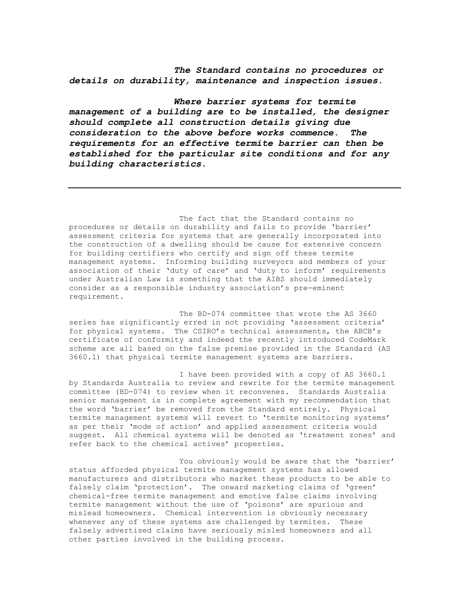*The Standard contains no procedures or details on durability, maintenance and inspection issues.* 

 *Where barrier systems for termite management of a building are to be installed, the designer should complete all construction details giving due consideration to the above before works commence. The requirements for an effective termite barrier can then be established for the particular site conditions and for any building characteristics.* 

 The fact that the Standard contains no procedures or details on durability and fails to provide 'barrier' assessment criteria for systems that are generally incorporated into the construction of a dwelling should be cause for extensive concern for building certifiers who certify and sign off these termite management systems. Informing building surveyors and members of your association of their 'duty of care' and 'duty to inform' requirements under Australian Law is something that the AIBS should immediately consider as a responsible industry association's pre-eminent requirement.

The BD-074 committee that wrote the AS 3660 series has significantly erred in not providing 'assessment criteria' for physical systems. The CSIRO's technical assessments, the ABCB's certificate of conformity and indeed the recently introduced CodeMark scheme are all based on the false premise provided in the Standard (AS 3660.1) that physical termite management systems are barriers.

 I have been provided with a copy of AS 3660.1 by Standards Australia to review and rewrite for the termite management committee (BD-074) to review when it reconvenes. Standards Australia senior management is in complete agreement with my recommendation that the word 'barrier' be removed from the Standard entirely. Physical termite management systems will revert to 'termite monitoring systems' as per their 'mode of action' and applied assessment criteria would suggest. All chemical systems will be denoted as 'treatment zones' and refer back to the chemical actives' properties.

 You obviously would be aware that the 'barrier' status afforded physical termite management systems has allowed manufacturers and distributors who market these products to be able to falsely claim 'protection'. The onward marketing claims of 'green' chemical-free termite management and emotive false claims involving termite management without the use of 'poisons' are spurious and mislead homeowners. Chemical intervention is obviously necessary whenever any of these systems are challenged by termites. These falsely advertised claims have seriously misled homeowners and all other parties involved in the building process.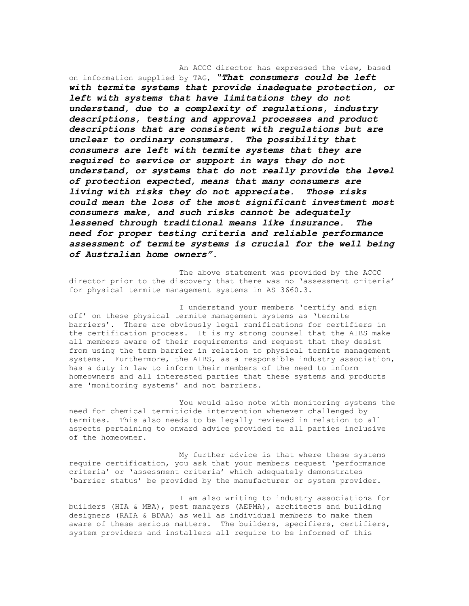An ACCC director has expressed the view, based on information supplied by TAG, *"That consumers could be left with termite systems that provide inadequate protection, or left with systems that have limitations they do not understand, due to a complexity of regulations, industry descriptions, testing and approval processes and product descriptions that are consistent with regulations but are unclear to ordinary consumers. The possibility that consumers are left with termite systems that they are required to service or support in ways they do not understand, or systems that do not really provide the level of protection expected, means that many consumers are living with risks they do not appreciate. Those risks could mean the loss of the most significant investment most consumers make, and such risks cannot be adequately lessened through traditional means like insurance. The need for proper testing criteria and reliable performance assessment of termite systems is crucial for the well being of Australian home owners".*

 The above statement was provided by the ACCC director prior to the discovery that there was no 'assessment criteria' for physical termite management systems in AS 3660.3.

 I understand your members 'certify and sign off' on these physical termite management systems as 'termite barriers'. There are obviously legal ramifications for certifiers in the certification process. It is my strong counsel that the AIBS make all members aware of their requirements and request that they desist from using the term barrier in relation to physical termite management systems. Furthermore, the AIBS, as a responsible industry association, has a duty in law to inform their members of the need to inform homeowners and all interested parties that these systems and products are 'monitoring systems' and not barriers.

 You would also note with monitoring systems the need for chemical termiticide intervention whenever challenged by termites. This also needs to be legally reviewed in relation to all aspects pertaining to onward advice provided to all parties inclusive of the homeowner.

 My further advice is that where these systems require certification, you ask that your members request 'performance criteria' or 'assessment criteria' which adequately demonstrates 'barrier status' be provided by the manufacturer or system provider.

 I am also writing to industry associations for builders (HIA & MBA), pest managers (AEPMA), architects and building designers (RAIA & BDAA) as well as individual members to make them aware of these serious matters. The builders, specifiers, certifiers, system providers and installers all require to be informed of this